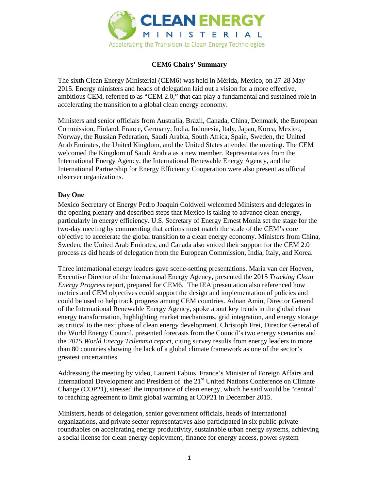

## **CEM6 Chairs' Summary**

The sixth Clean Energy Ministerial (CEM6) was held in Mérida, Mexico, on 27-28 May 2015. Energy ministers and heads of delegation laid out a vision for a more effective, ambitious CEM, referred to as "CEM 2.0," that can play a fundamental and sustained role in accelerating the transition to a global clean energy economy.

Ministers and senior officials from Australia, Brazil, Canada, China, Denmark, the European Commission, Finland, France, Germany, India, Indonesia, Italy, Japan, Korea, Mexico, Norway, the Russian Federation, Saudi Arabia, South Africa, Spain, Sweden, the United Arab Emirates, the United Kingdom, and the United States attended the meeting. The CEM welcomed the Kingdom of Saudi Arabia as a new member. Representatives from the International Energy Agency, the International Renewable Energy Agency, and the International Partnership for Energy Efficiency Cooperation were also present as official observer organizations.

## **Day One**

Mexico Secretary of Energy Pedro Joaquin Coldwell welcomed Ministers and delegates in the opening plenary and described steps that Mexico is taking to advance clean energy, particularly in energy efficiency. U.S. Secretary of Energy Ernest Moniz set the stage for the two-day meeting by commenting that actions must match the scale of the CEM's core objective to accelerate the global transition to a clean energy economy. Ministers from China, Sweden, the United Arab Emirates, and Canada also voiced their support for the CEM 2.0 process as did heads of delegation from the European Commission, India, Italy, and Korea.

Three international energy leaders gave scene-setting presentations. Maria van der Hoeven, Executive Director of the International Energy Agency, presented the 2015 *Tracking Clean Energy Progress* report, prepared for CEM6. The IEA presentation also referenced how metrics and CEM objectives could support the design and implementation of policies and could be used to help track progress among CEM countries. Adnan Amin, Director General of the International Renewable Energy Agency, spoke about key trends in the global clean energy transformation, highlighting market mechanisms, grid integration, and energy storage as critical to the next phase of clean energy development. Christoph Frei, Director General of the World Energy Council, presented forecasts from the Council's two energy scenarios and the *2015 World Energy Trilemma report*, citing survey results from energy leaders in more than 80 countries showing the lack of a global climate framework as one of the sector's greatest uncertainties.

Addressing the meeting by video, Laurent Fabius, France's Minister of Foreign Affairs and International Development and President of the 21<sup>st</sup> United Nations Conference on Climate Change (COP21), stressed the importance of clean energy, which he said would be "central" to reaching agreement to limit global warming at COP21 in December 2015.

Ministers, heads of delegation, senior government officials, heads of international organizations, and private sector representatives also participated in six public-private roundtables on accelerating energy productivity, sustainable urban energy systems, achieving a social license for clean energy deployment, finance for energy access, power system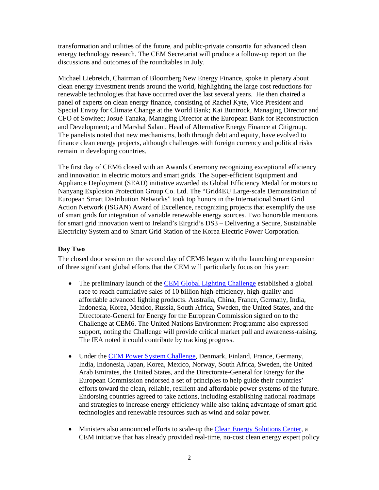transformation and utilities of the future, and public-private consortia for advanced clean energy technology research. The CEM Secretariat will produce a follow-up report on the discussions and outcomes of the roundtables in July.

Michael Liebreich, Chairman of Bloomberg New Energy Finance, spoke in plenary about clean energy investment trends around the world, highlighting the large cost reductions for renewable technologies that have occurred over the last several years. He then chaired a panel of experts on clean energy finance, consisting of Rachel Kyte, Vice President and Special Envoy for Climate Change at the World Bank; Kai Buntrock, Managing Director and CFO of Sowitec; Josué Tanaka, Managing Director at the European Bank for Reconstruction and Development; and Marshal Salant, Head of Alternative Energy Finance at Citigroup. The panelists noted that new mechanisms, both through debt and equity, have evolved to finance clean energy projects, although challenges with foreign currency and political risks remain in developing countries.

The first day of CEM6 closed with an Awards Ceremony recognizing exceptional efficiency and innovation in electric motors and smart grids. The Super-efficient Equipment and Appliance Deployment (SEAD) initiative awarded its Global Efficiency Medal for motors to Nanyang Explosion Protection Group Co. Ltd. The "Grid4EU Large-scale Demonstration of European Smart Distribution Networks" took top honors in the International Smart Grid Action Network (ISGAN) Award of Excellence, recognizing projects that exemplify the use of smart grids for integration of variable renewable energy sources. Two honorable mentions for smart grid innovation went to Ireland's Eirgrid's DS3 – Delivering a Secure, Sustainable Electricity System and to Smart Grid Station of the Korea Electric Power Corporation.

## **Day Two**

The closed door session on the second day of CEM6 began with the launching or expansion of three significant global efforts that the CEM will particularly focus on this year:

- The preliminary launch of the CEM Global Lighting Challenge established a global race to reach cumulative sales of 10 billion high-efficiency, high-quality and affordable advanced lighting products. Australia, China, France, Germany, India, Indonesia, Korea, Mexico, Russia, South Africa, Sweden, the United States, and the Directorate-General for Energy for the European Commission signed on to the Challenge at CEM6. The United Nations Environment Programme also expressed support, noting the Challenge will provide critical market pull and awareness-raising. The IEA noted it could contribute by tracking progress.
- Under the CEM Power System Challenge, Denmark, Finland, France, Germany, India, Indonesia, Japan, Korea, Mexico, Norway, South Africa, Sweden, the United Arab Emirates, the United States, and the Directorate-General for Energy for the European Commission endorsed a set of principles to help guide their countries' efforts toward the clean, reliable, resilient and affordable power systems of the future. Endorsing countries agreed to take actions, including establishing national roadmaps and strategies to increase energy efficiency while also taking advantage of smart grid technologies and renewable resources such as wind and solar power.
- Ministers also announced efforts to scale-up the Clean Energy Solutions Center, a CEM initiative that has already provided real-time, no-cost clean energy expert policy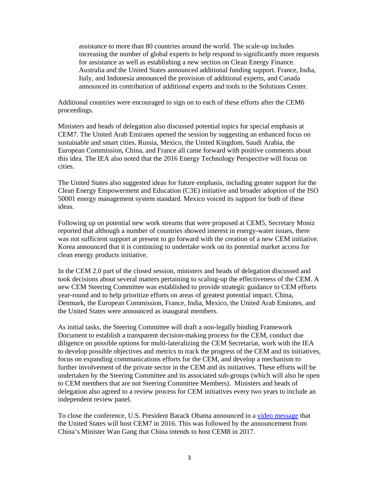assistance to more than 80 countries around the world. The scale-up includes increasing the number of global experts to help respond to significantly more requests for assistance as well as establishing a new section on Clean Energy Finance. Australia and the United States announced additional funding support. France, India, Italy, and Indonesia announced the provision of additional experts, and Canada announced its contribution of additional experts and tools to the Solutions Center.

Additional countries were encouraged to sign on to each of these efforts after the CEM6 proceedings.

Ministers and heads of delegation also discussed potential topics for special emphasis at CEM7. The United Arab Emirates opened the session by suggesting an enhanced focus on sustainable and smart cities. Russia, Mexico, the United Kingdom, Saudi Arabia, the European Commission, China, and France all came forward with positive comments about this idea. The IEA also noted that the 2016 Energy Technology Perspective will focus on cities.

The United States also suggested ideas for future emphasis, including greater support for the Clean Energy Empowerment and Education (C3E) initiative and broader adoption of the ISO 50001 energy management system standard. Mexico voiced its support for both of these ideas.

Following up on potential new work streams that were proposed at CEM5, Secretary Moniz reported that although a number of countries showed interest in energy-water issues, there was not sufficient support at present to go forward with the creation of a new CEM initiative. Korea announced that it is continuing to undertake work on its potential market access for clean energy products initiative.

In the CEM 2.0 part of the closed session, ministers and heads of delegation discussed and took decisions about several matters pertaining to scaling-up the effectiveness of the CEM. A new CEM Steering Committee was established to provide strategic guidance to CEM efforts year-round and to help prioritize efforts on areas of greatest potential impact. China, Denmark, the European Commission, France, India, Mexico, the United Arab Emirates, and the United States were announced as inaugural members.

As initial tasks, the Steering Committee will draft a non-legally binding Framework Document to establish a transparent decision-making process for the CEM, conduct due diligence on possible options for multi-lateralizing the CEM Secretariat, work with the IEA to develop possible objectives and metrics to track the progress of the CEM and its initiatives, focus on expanding communications efforts for the CEM, and develop a mechanism to further involvement of the private sector in the CEM and its initiatives. These efforts will be undertaken by the Steering Committee and its associated sub-groups (which will also be open to CEM members that are not Steering Committee Members). Ministers and heads of delegation also agreed to a review process for CEM initiatives every two years to include an independent review panel.

To close the conference, U.S. President Barack Obama announced in a video message that the United States will host CEM7 in 2016. This was followed by the announcement from China's Minister Wan Gang that China intends to host CEM8 in 2017.